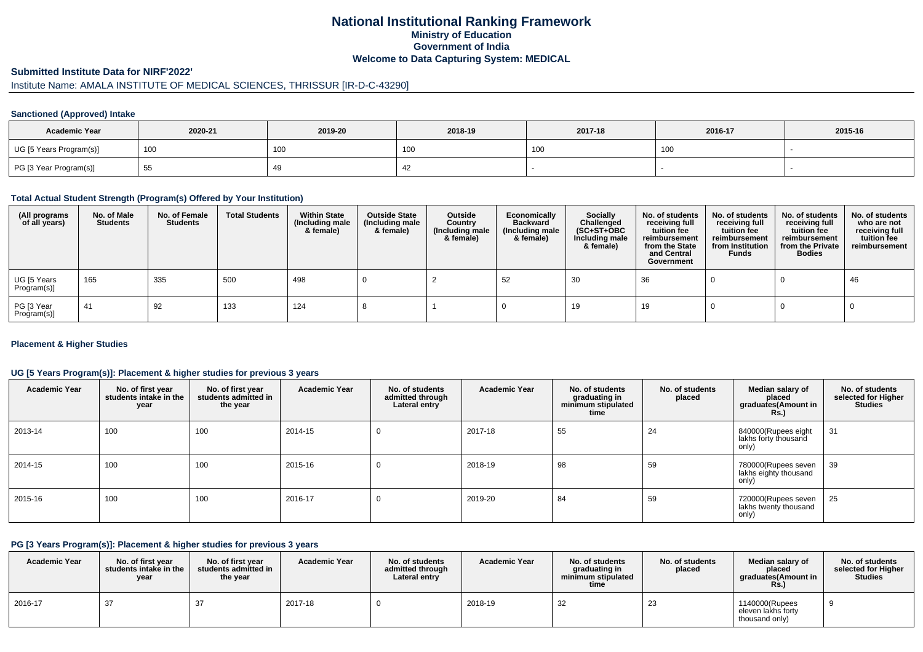## **National Institutional Ranking FrameworkMinistry of Education Government of IndiaWelcome to Data Capturing System: MEDICAL**

#### **Submitted Institute Data for NIRF'2022'**

# Institute Name: AMALA INSTITUTE OF MEDICAL SCIENCES, THRISSUR [IR-D-C-43290]

### **Sanctioned (Approved) Intake**

| <b>Academic Year</b>    | 2020-21 | 2019-20    | 2018-19 | 2017-18 | 2016-17 | 2015-16 |
|-------------------------|---------|------------|---------|---------|---------|---------|
| UG [5 Years Program(s)] | 100     | <b>100</b> | , UU    | 100     | 100     |         |
| PG [3 Year Program(s)]  | ರಿಂ     | 49         | 42      |         |         |         |

#### **Total Actual Student Strength (Program(s) Offered by Your Institution)**

| (All programs<br>of all years) | No. of Male<br><b>Students</b> | No. of Female<br>Students | <b>Total Students</b> | <b>Within State</b><br>(Including male<br>& female) | <b>Outside State</b><br>(Including male<br>& female) | Outside<br>Country<br>(Including male<br>& female) | Economically<br><b>Backward</b><br>(Including male<br>& female) | <b>Socially</b><br>Challenged<br>$(SC+ST+OBC)$<br>Including male<br>& female) | No. of students<br>receiving full<br>tuition fee<br>reimbursement<br>from the State<br>and Central<br>Government | No. of students<br>receiving full<br>tuition fee<br>reimbursement<br>from Institution<br><b>Funds</b> | No. of students<br>receiving full<br>tuition fee<br>reimbursement<br>from the Private<br><b>Bodies</b> | No. of students<br>who are not<br>receiving full<br>tuition fee<br>reimbursement |
|--------------------------------|--------------------------------|---------------------------|-----------------------|-----------------------------------------------------|------------------------------------------------------|----------------------------------------------------|-----------------------------------------------------------------|-------------------------------------------------------------------------------|------------------------------------------------------------------------------------------------------------------|-------------------------------------------------------------------------------------------------------|--------------------------------------------------------------------------------------------------------|----------------------------------------------------------------------------------|
| UG [5 Years<br>Program(s)]     | 165                            | 335                       | 500                   | 498                                                 |                                                      |                                                    | -52                                                             | 30                                                                            | 36                                                                                                               |                                                                                                       |                                                                                                        | 46                                                                               |
| PG [3 Year<br>Program(s)]      | 41                             | 92                        | 133                   | 124                                                 |                                                      |                                                    |                                                                 | 19                                                                            | 19                                                                                                               |                                                                                                       |                                                                                                        |                                                                                  |

### **Placement & Higher Studies**

### **UG [5 Years Program(s)]: Placement & higher studies for previous 3 years**

| <b>Academic Year</b> | No. of first year<br>students intake in the<br>year | No. of first year<br>students admitted in<br>the year | <b>Academic Year</b> | No. of students<br>admitted through<br>Lateral entry | <b>Academic Year</b> | No. of students<br>graduating in<br>minimum stipulated<br>time | No. of students<br>placed | Median salary of<br>placed<br>graduates (Amount in<br><b>Rs.)</b> | No. of students<br>selected for Higher<br><b>Studies</b> |
|----------------------|-----------------------------------------------------|-------------------------------------------------------|----------------------|------------------------------------------------------|----------------------|----------------------------------------------------------------|---------------------------|-------------------------------------------------------------------|----------------------------------------------------------|
| 2013-14              | 100                                                 | 100                                                   | 2014-15              | 0                                                    | 2017-18              | 55                                                             | 24                        | 840000(Rupees eight<br>lakhs forty thousand<br>only)              | 31                                                       |
| 2014-15              | 100                                                 | 100                                                   | 2015-16              | 0                                                    | 2018-19              | 98                                                             | 59                        | 780000(Rupees seven<br>lakhs eighty thousand<br>only)             | 39                                                       |
| 2015-16              | 100                                                 | 100                                                   | 2016-17              | 0                                                    | 2019-20              | 84                                                             | 59                        | 720000(Rupees seven<br>lakhs twenty thousand<br>only)             | 25                                                       |

#### **PG [3 Years Program(s)]: Placement & higher studies for previous 3 years**

| <b>Academic Year</b> | No. of first vear<br>students intake in the<br>year | No. of first year<br>students admitted in<br>the year | <b>Academic Year</b> | No. of students<br>admitted through<br>Lateral entry | <b>Academic Year</b> | No. of students<br>graduating in<br>minimum stipulated<br>time | No. of students<br>placed | Median salary of<br>placed<br>araduates(Amount in<br>Rs. | No. of students<br>selected for Higher<br><b>Studies</b> |
|----------------------|-----------------------------------------------------|-------------------------------------------------------|----------------------|------------------------------------------------------|----------------------|----------------------------------------------------------------|---------------------------|----------------------------------------------------------|----------------------------------------------------------|
| 2016-17              | 37                                                  | -27                                                   | 2017-18              |                                                      | 2018-19              | 32                                                             | 23                        | 1140000(Rupees<br>eleven lakhs fortv<br>thousand only)   |                                                          |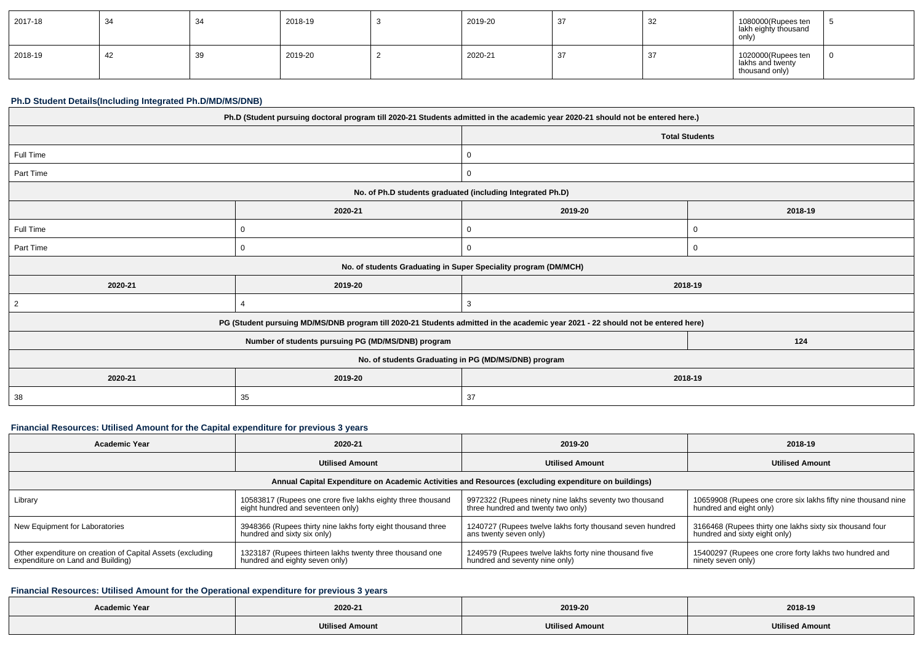| 2017-18 | -34 | 34           | 2018-19 | 2019-20 | ےر | 1080000(Rupees ten<br>  lakh eighty thousand<br>only)    |  |
|---------|-----|--------------|---------|---------|----|----------------------------------------------------------|--|
| 2018-19 | 44  | $\sim$<br>აჟ | 2019-20 | 2020-21 | O. | 1020000(Rupees ten<br>lakhs and twenty<br>thousand only) |  |

### **Ph.D Student Details(Including Integrated Ph.D/MD/MS/DNB)**

| Ph.D (Student pursuing doctoral program till 2020-21 Students admitted in the academic year 2020-21 should not be entered here.) |                                                                                                                                  |                                                                 |         |  |  |
|----------------------------------------------------------------------------------------------------------------------------------|----------------------------------------------------------------------------------------------------------------------------------|-----------------------------------------------------------------|---------|--|--|
|                                                                                                                                  |                                                                                                                                  | <b>Total Students</b>                                           |         |  |  |
| Full Time                                                                                                                        |                                                                                                                                  | 0                                                               |         |  |  |
| Part Time                                                                                                                        |                                                                                                                                  | 0                                                               |         |  |  |
|                                                                                                                                  |                                                                                                                                  | No. of Ph.D students graduated (including Integrated Ph.D)      |         |  |  |
|                                                                                                                                  | 2020-21                                                                                                                          | 2019-20                                                         | 2018-19 |  |  |
| Full Time                                                                                                                        | 0                                                                                                                                | 0                                                               |         |  |  |
| Part Time                                                                                                                        | 0                                                                                                                                | 0                                                               |         |  |  |
|                                                                                                                                  |                                                                                                                                  | No. of students Graduating in Super Speciality program (DM/MCH) |         |  |  |
| 2020-21                                                                                                                          | 2019-20                                                                                                                          |                                                                 | 2018-19 |  |  |
| 2                                                                                                                                |                                                                                                                                  | 3                                                               |         |  |  |
|                                                                                                                                  | PG (Student pursuing MD/MS/DNB program till 2020-21 Students admitted in the academic year 2021 - 22 should not be entered here) |                                                                 |         |  |  |
| 124<br>Number of students pursuing PG (MD/MS/DNB) program                                                                        |                                                                                                                                  |                                                                 |         |  |  |
| No. of students Graduating in PG (MD/MS/DNB) program                                                                             |                                                                                                                                  |                                                                 |         |  |  |
| 2020-21                                                                                                                          | 2019-20<br>2018-19                                                                                                               |                                                                 |         |  |  |
| 38                                                                                                                               | 35                                                                                                                               | 37                                                              |         |  |  |

# **Financial Resources: Utilised Amount for the Capital expenditure for previous 3 years**

| <b>Academic Year</b>                                                                                 | 2020-21                                                      | 2019-20                                                   | 2018-19                                                       |  |  |  |
|------------------------------------------------------------------------------------------------------|--------------------------------------------------------------|-----------------------------------------------------------|---------------------------------------------------------------|--|--|--|
|                                                                                                      | <b>Utilised Amount</b>                                       | <b>Utilised Amount</b>                                    | <b>Utilised Amount</b>                                        |  |  |  |
| Annual Capital Expenditure on Academic Activities and Resources (excluding expenditure on buildings) |                                                              |                                                           |                                                               |  |  |  |
| Library                                                                                              | 10583817 (Rupees one crore five lakhs eighty three thousand  | 9972322 (Rupees ninety nine lakhs seventy two thousand    | 10659908 (Rupees one crore six lakhs fifty nine thousand nine |  |  |  |
|                                                                                                      | eight hundred and seventeen only)                            | three hundred and twenty two only)                        | hundred and eight only)                                       |  |  |  |
| New Equipment for Laboratories                                                                       | 3948366 (Rupees thirty nine lakhs forty eight thousand three | 1240727 (Rupees twelve lakhs forty thousand seven hundred | 3166468 (Rupees thirty one lakhs sixty six thousand four      |  |  |  |
|                                                                                                      | hundred and sixty six only)                                  | ans twenty seven only)                                    | hundred and sixty eight only)                                 |  |  |  |
| Other expenditure on creation of Capital Assets (excluding                                           | 1323187 (Rupees thirteen lakhs twenty three thousand one     | 1249579 (Rupees twelve lakhs forty nine thousand five     | 15400297 (Rupees one crore forty lakhs two hundred and        |  |  |  |
| expenditure on Land and Building)                                                                    | hundred and eighty seven only)                               | hundred and seventy nine only)                            | ninety seven only)                                            |  |  |  |

# **Financial Resources: Utilised Amount for the Operational expenditure for previous 3 years**

| <b>Academic Year</b> |                        |                        |                        |
|----------------------|------------------------|------------------------|------------------------|
|                      | 2020-21                | 2019-20                | 2018-19                |
|                      | <b>Utilised Amount</b> | <b>Utilised Amount</b> | <b>Utilised Amount</b> |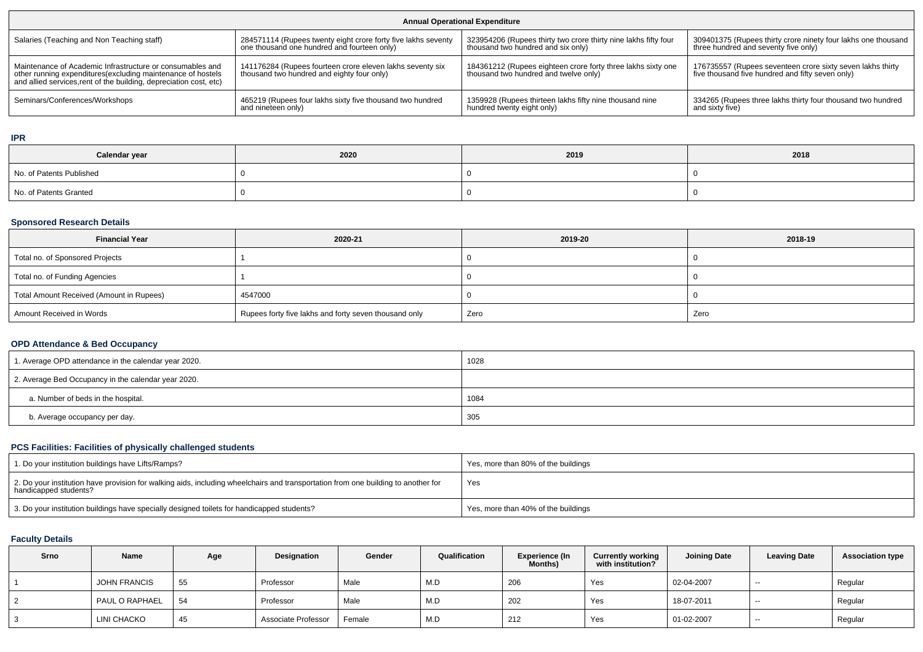| <b>Annual Operational Expenditure</b>                                                                                                                                                           |                                                                                                         |                                                                                                       |                                                                                                                |  |  |
|-------------------------------------------------------------------------------------------------------------------------------------------------------------------------------------------------|---------------------------------------------------------------------------------------------------------|-------------------------------------------------------------------------------------------------------|----------------------------------------------------------------------------------------------------------------|--|--|
| Salaries (Teaching and Non Teaching staff)                                                                                                                                                      | 284571114 (Rupees twenty eight crore forty five lakhs seventy                                           | 323954206 (Rupees thirty two crore thirty nine lakhs fifty four                                       | 309401375 (Rupees thirty crore ninety four lakhs one thousand                                                  |  |  |
|                                                                                                                                                                                                 | one thousand one hundred and fourteen only)                                                             | thousand two hundred and six only)                                                                    | three hundred and seventy five only)                                                                           |  |  |
| Maintenance of Academic Infrastructure or consumables and<br>other running expenditures (excluding maintenance of hostels<br>and allied services, rent of the building, depreciation cost, etc) | 141176284 (Rupees fourteen crore eleven lakhs seventy six<br>thousand two hundred and eighty four only) | 184361212 (Rupees eighteen crore forty three lakhs sixty one<br>thousand two hundred and twelve only) | 176735557 (Rupees seventeen crore sixty seven lakhs thirty<br>five thousand five hundred and fifty seven only) |  |  |
| Seminars/Conferences/Workshops                                                                                                                                                                  | 465219 (Rupees four lakhs sixty five thousand two hundred                                               | 1359928 (Rupees thirteen lakhs fifty nine thousand nine                                               | 334265 (Rupees three lakhs thirty four thousand two hundred                                                    |  |  |
|                                                                                                                                                                                                 | and nineteen only)                                                                                      | hundred twenty eight only)                                                                            | and sixty five)                                                                                                |  |  |

**IPR**

| Calendar year            | 2020 | 2019 | 2018 |
|--------------------------|------|------|------|
| No. of Patents Published |      |      |      |
| No. of Patents Granted   |      |      |      |

### **Sponsored Research Details**

| <b>Financial Year</b>                    | 2020-21                                               | 2019-20 | 2018-19 |
|------------------------------------------|-------------------------------------------------------|---------|---------|
| Total no. of Sponsored Projects          |                                                       |         |         |
| Total no. of Funding Agencies            |                                                       |         |         |
| Total Amount Received (Amount in Rupees) | 4547000                                               |         |         |
| Amount Received in Words                 | Rupees forty five lakhs and forty seven thousand only | Zero    | Zero    |

## **OPD Attendance & Bed Occupancy**

| 1. Average OPD attendance in the calendar year 2020. | 1028 |
|------------------------------------------------------|------|
| 2. Average Bed Occupancy in the calendar year 2020.  |      |
| a. Number of beds in the hospital.                   | 1084 |
| b. Average occupancy per day.                        | 305  |

## **PCS Facilities: Facilities of physically challenged students**

| 1. Do your institution buildings have Lifts/Ramps?                                                                                                         | Yes, more than 80% of the buildings |
|------------------------------------------------------------------------------------------------------------------------------------------------------------|-------------------------------------|
| 2. Do your institution have provision for walking aids, including wheelchairs and transportation from one building to another for<br>handicapped students? | Yes                                 |
| 3. Do your institution buildings have specially designed toilets for handicapped students?                                                                 | Yes, more than 40% of the buildings |

## **Faculty Details**

| Srno | Name                | Age | Designation         | Gender | Qualification | <b>Experience (In</b><br><b>Months)</b> | <b>Currently working</b><br>with institution? | <b>Joining Date</b> | <b>Leaving Date</b> | <b>Association type</b> |
|------|---------------------|-----|---------------------|--------|---------------|-----------------------------------------|-----------------------------------------------|---------------------|---------------------|-------------------------|
|      | <b>JOHN FRANCIS</b> | 55  | Professor           | Male   | M.D           | 206                                     | Yes                                           | 02-04-2007          | $- -$               | Regular                 |
|      | PAUL O RAPHAEL      | 54  | Professor           | Male   | M.D           | 202                                     | Yes                                           | 18-07-2011          | $- -$               | Regular                 |
|      | LINI CHACKO         | 45  | Associate Professor | Female | M.D           | 212                                     | Yes                                           | 01-02-2007          | $- -$               | Regular                 |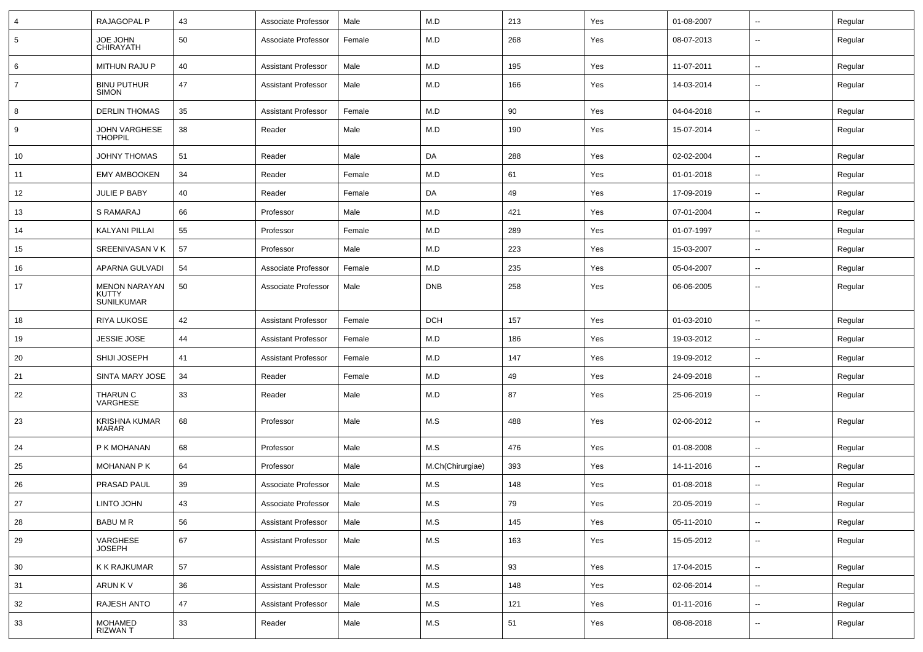| $\overline{4}$  | RAJAGOPAL P                                        | 43 | Associate Professor        | Male   | M.D              | 213 | Yes | 01-08-2007 | $\sim$                   | Regular |
|-----------------|----------------------------------------------------|----|----------------------------|--------|------------------|-----|-----|------------|--------------------------|---------|
| $5\overline{5}$ | JOE JOHN<br><b>CHIRAYATH</b>                       | 50 | Associate Professor        | Female | M.D              | 268 | Yes | 08-07-2013 | --                       | Regular |
| 6               | MITHUN RAJU P                                      | 40 | <b>Assistant Professor</b> | Male   | M.D              | 195 | Yes | 11-07-2011 | $\sim$                   | Regular |
| $\overline{7}$  | <b>BINU PUTHUR</b><br><b>SIMON</b>                 | 47 | <b>Assistant Professor</b> | Male   | M.D              | 166 | Yes | 14-03-2014 | ⊷.                       | Regular |
| 8               | <b>DERLIN THOMAS</b>                               | 35 | <b>Assistant Professor</b> | Female | M.D              | 90  | Yes | 04-04-2018 | ⊷.                       | Regular |
| 9               | <b>JOHN VARGHESE</b><br><b>THOPPIL</b>             | 38 | Reader                     | Male   | M.D              | 190 | Yes | 15-07-2014 | --                       | Regular |
| 10              | <b>JOHNY THOMAS</b>                                | 51 | Reader                     | Male   | DA               | 288 | Yes | 02-02-2004 | $\overline{\phantom{a}}$ | Regular |
| 11              | <b>EMY AMBOOKEN</b>                                | 34 | Reader                     | Female | M.D              | 61  | Yes | 01-01-2018 | -−                       | Regular |
| 12              | JULIE P BABY                                       | 40 | Reader                     | Female | DA               | 49  | Yes | 17-09-2019 | ⊷.                       | Regular |
| 13              | S RAMARAJ                                          | 66 | Professor                  | Male   | M.D              | 421 | Yes | 07-01-2004 | $\sim$                   | Regular |
| 14              | <b>KALYANI PILLAI</b>                              | 55 | Professor                  | Female | M.D              | 289 | Yes | 01-07-1997 | $\sim$                   | Regular |
| 15              | SREENIVASAN V K                                    | 57 | Professor                  | Male   | M.D              | 223 | Yes | 15-03-2007 | ⊷.                       | Regular |
| 16              | APARNA GULVADI                                     | 54 | Associate Professor        | Female | M.D              | 235 | Yes | 05-04-2007 | $\overline{\phantom{a}}$ | Regular |
| 17              | <b>MENON NARAYAN</b><br>KUTTY<br><b>SUNILKUMAR</b> | 50 | Associate Professor        | Male   | <b>DNB</b>       | 258 | Yes | 06-06-2005 |                          | Regular |
| 18              | <b>RIYA LUKOSE</b>                                 | 42 | <b>Assistant Professor</b> | Female | <b>DCH</b>       | 157 | Yes | 01-03-2010 | $\overline{\phantom{a}}$ | Regular |
| 19              | <b>JESSIE JOSE</b>                                 | 44 | <b>Assistant Professor</b> | Female | M.D              | 186 | Yes | 19-03-2012 | --                       | Regular |
| 20              | SHIJI JOSEPH                                       | 41 | <b>Assistant Professor</b> | Female | M.D              | 147 | Yes | 19-09-2012 | $\sim$                   | Regular |
| 21              | SINTA MARY JOSE                                    | 34 | Reader                     | Female | M.D              | 49  | Yes | 24-09-2018 | ⊷.                       | Regular |
| 22              | THARUN C<br>VARGHESE                               | 33 | Reader                     | Male   | M.D              | 87  | Yes | 25-06-2019 | −−                       | Regular |
| 23              | <b>KRISHNA KUMAR</b><br><b>MARAR</b>               | 68 | Professor                  | Male   | M.S              | 488 | Yes | 02-06-2012 | --                       | Regular |
| 24              | P K MOHANAN                                        | 68 | Professor                  | Male   | M.S              | 476 | Yes | 01-08-2008 | $\sim$                   | Regular |
| 25              | <b>MOHANAN P K</b>                                 | 64 | Professor                  | Male   | M.Ch(Chirurgiae) | 393 | Yes | 14-11-2016 | $\sim$                   | Regular |
| 26              | <b>PRASAD PAUL</b>                                 | 39 | Associate Professor        | Male   | M.S              | 148 | Yes | 01-08-2018 | $\overline{\phantom{a}}$ | Regular |
| 27              | LINTO JOHN                                         | 43 | Associate Professor        | Male   | ${\sf M.S}$      | 79  | Yes | 20-05-2019 |                          | Regular |
| 28              | <b>BABUMR</b>                                      | 56 | <b>Assistant Professor</b> | Male   | M.S              | 145 | Yes | 05-11-2010 | $\overline{\phantom{a}}$ | Regular |
| 29              | VARGHESE<br><b>JOSEPH</b>                          | 67 | <b>Assistant Professor</b> | Male   | M.S              | 163 | Yes | 15-05-2012 | $\sim$                   | Regular |
| 30              | K K RAJKUMAR                                       | 57 | <b>Assistant Professor</b> | Male   | M.S              | 93  | Yes | 17-04-2015 | $\sim$                   | Regular |
| 31              | ARUN K V                                           | 36 | <b>Assistant Professor</b> | Male   | M.S              | 148 | Yes | 02-06-2014 | $\overline{\phantom{a}}$ | Regular |
| 32              | RAJESH ANTO                                        | 47 | <b>Assistant Professor</b> | Male   | M.S              | 121 | Yes | 01-11-2016 | Щ,                       | Regular |
| 33              | <b>MOHAMED</b><br><b>RIZWANT</b>                   | 33 | Reader                     | Male   | M.S              | 51  | Yes | 08-08-2018 | −−                       | Regular |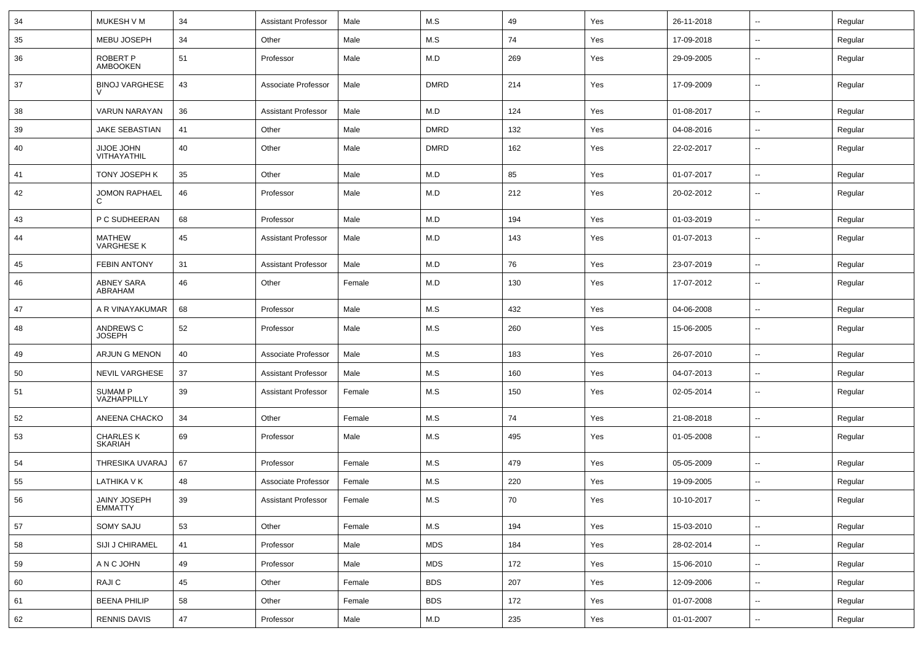| 34 | MUKESH V M                         | 34 | <b>Assistant Professor</b> | Male   | M.S         | 49  | Yes | 26-11-2018 | $\sim$                   | Regular |
|----|------------------------------------|----|----------------------------|--------|-------------|-----|-----|------------|--------------------------|---------|
| 35 | <b>MEBU JOSEPH</b>                 | 34 | Other                      | Male   | M.S         | 74  | Yes | 17-09-2018 | $\overline{\phantom{a}}$ | Regular |
| 36 | ROBERT P<br><b>AMBOOKEN</b>        | 51 | Professor                  | Male   | M.D         | 269 | Yes | 29-09-2005 | $\overline{\phantom{a}}$ | Regular |
| 37 | <b>BINOJ VARGHESE</b>              | 43 | Associate Professor        | Male   | <b>DMRD</b> | 214 | Yes | 17-09-2009 | $\sim$                   | Regular |
| 38 | VARUN NARAYAN                      | 36 | <b>Assistant Professor</b> | Male   | M.D         | 124 | Yes | 01-08-2017 | $\overline{\phantom{a}}$ | Regular |
| 39 | <b>JAKE SEBASTIAN</b>              | 41 | Other                      | Male   | <b>DMRD</b> | 132 | Yes | 04-08-2016 | $\overline{\phantom{a}}$ | Regular |
| 40 | JIJOE JOHN<br>VITHAYATHIL          | 40 | Other                      | Male   | <b>DMRD</b> | 162 | Yes | 22-02-2017 | $\overline{\phantom{a}}$ | Regular |
| 41 | TONY JOSEPH K                      | 35 | Other                      | Male   | M.D         | 85  | Yes | 01-07-2017 | $\overline{\phantom{a}}$ | Regular |
| 42 | <b>JOMON RAPHAEL</b>               | 46 | Professor                  | Male   | M.D         | 212 | Yes | 20-02-2012 | $\sim$                   | Regular |
| 43 | P C SUDHEERAN                      | 68 | Professor                  | Male   | M.D         | 194 | Yes | 01-03-2019 | $\sim$                   | Regular |
| 44 | <b>MATHEW</b><br><b>VARGHESE K</b> | 45 | <b>Assistant Professor</b> | Male   | M.D         | 143 | Yes | 01-07-2013 | $\overline{\phantom{a}}$ | Regular |
| 45 | <b>FEBIN ANTONY</b>                | 31 | <b>Assistant Professor</b> | Male   | M.D         | 76  | Yes | 23-07-2019 | $\sim$                   | Regular |
| 46 | <b>ABNEY SARA</b><br>ABRAHAM       | 46 | Other                      | Female | M.D         | 130 | Yes | 17-07-2012 | $\sim$                   | Regular |
| 47 | A R VINAYAKUMAR                    | 68 | Professor                  | Male   | M.S         | 432 | Yes | 04-06-2008 | $\overline{\phantom{a}}$ | Regular |
| 48 | ANDREWS C<br><b>JOSEPH</b>         | 52 | Professor                  | Male   | M.S         | 260 | Yes | 15-06-2005 | $\sim$                   | Regular |
| 49 | ARJUN G MENON                      | 40 | Associate Professor        | Male   | M.S         | 183 | Yes | 26-07-2010 | $\sim$                   | Regular |
| 50 | <b>NEVIL VARGHESE</b>              | 37 | <b>Assistant Professor</b> | Male   | M.S         | 160 | Yes | 04-07-2013 | $\overline{\phantom{a}}$ | Regular |
| 51 | <b>SUMAM P</b><br>VAZHAPPILLY      | 39 | <b>Assistant Professor</b> | Female | M.S         | 150 | Yes | 02-05-2014 | $\overline{\phantom{a}}$ | Regular |
| 52 | ANEENA CHACKO                      | 34 | Other                      | Female | M.S         | 74  | Yes | 21-08-2018 | $\overline{\phantom{a}}$ | Regular |
| 53 | <b>CHARLES K</b><br><b>SKARIAH</b> | 69 | Professor                  | Male   | M.S         | 495 | Yes | 01-05-2008 | $\sim$                   | Regular |
| 54 | THRESIKA UVARAJ                    | 67 | Professor                  | Female | M.S         | 479 | Yes | 05-05-2009 | $\sim$                   | Regular |
| 55 | LATHIKA V K                        | 48 | Associate Professor        | Female | M.S         | 220 | Yes | 19-09-2005 | $\overline{\phantom{a}}$ | Regular |
| 56 | JAINY JOSEPH<br><b>EMMATTY</b>     | 39 | Assistant Professor        | Female | M.S         | 70  | Yes | 10-10-2017 | $\overline{\phantom{a}}$ | Regular |
| 57 | SOMY SAJU                          | 53 | Other                      | Female | M.S         | 194 | Yes | 15-03-2010 | $\sim$                   | Regular |
| 58 | SIJI J CHIRAMEL                    | 41 | Professor                  | Male   | <b>MDS</b>  | 184 | Yes | 28-02-2014 | $\sim$                   | Regular |
| 59 | A N C JOHN                         | 49 | Professor                  | Male   | <b>MDS</b>  | 172 | Yes | 15-06-2010 | $\sim$                   | Regular |
| 60 | RAJI C                             | 45 | Other                      | Female | <b>BDS</b>  | 207 | Yes | 12-09-2006 | $\sim$                   | Regular |
| 61 | <b>BEENA PHILIP</b>                | 58 | Other                      | Female | <b>BDS</b>  | 172 | Yes | 01-07-2008 | $\sim$                   | Regular |
| 62 | <b>RENNIS DAVIS</b>                | 47 | Professor                  | Male   | M.D         | 235 | Yes | 01-01-2007 | $\sim$                   | Regular |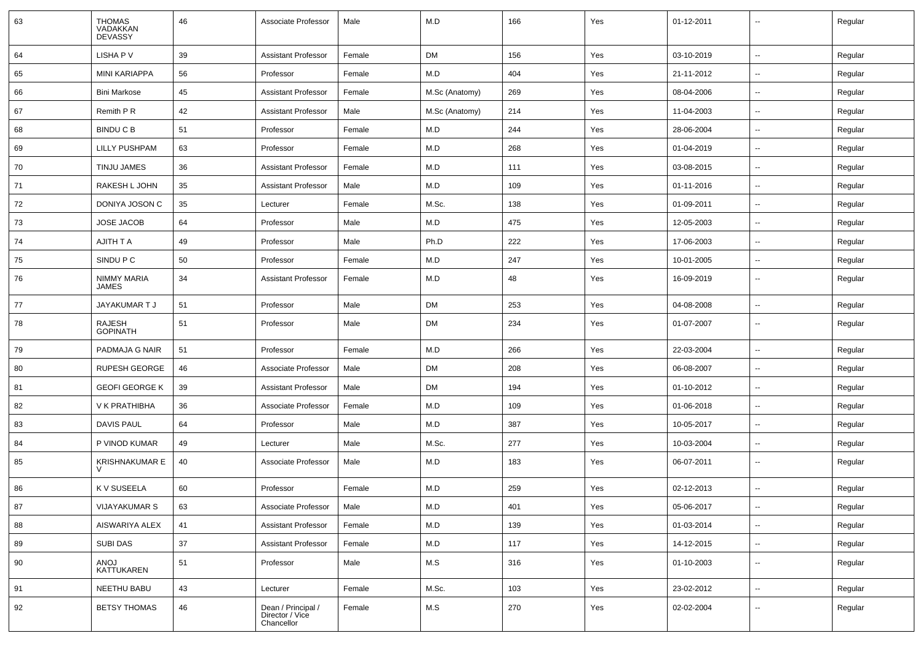| 63 | <b>THOMAS</b><br>VADAKKAN<br><b>DEVASSY</b> | 46     | Associate Professor                                 | Male   | M.D            | 166 | Yes | 01-12-2011 |                          | Regular |
|----|---------------------------------------------|--------|-----------------------------------------------------|--------|----------------|-----|-----|------------|--------------------------|---------|
| 64 | LISHA P V                                   | 39     | <b>Assistant Professor</b>                          | Female | DM             | 156 | Yes | 03-10-2019 | $\sim$                   | Regular |
| 65 | <b>MINI KARIAPPA</b>                        | 56     | Professor                                           | Female | M.D            | 404 | Yes | 21-11-2012 | $\sim$                   | Regular |
| 66 | <b>Bini Markose</b>                         | 45     | <b>Assistant Professor</b>                          | Female | M.Sc (Anatomy) | 269 | Yes | 08-04-2006 | -−                       | Regular |
| 67 | Remith P R                                  | 42     | <b>Assistant Professor</b>                          | Male   | M.Sc (Anatomy) | 214 | Yes | 11-04-2003 | -−                       | Regular |
| 68 | <b>BINDU C B</b>                            | 51     | Professor                                           | Female | M.D            | 244 | Yes | 28-06-2004 | $\overline{\phantom{a}}$ | Regular |
| 69 | <b>LILLY PUSHPAM</b>                        | 63     | Professor                                           | Female | M.D            | 268 | Yes | 01-04-2019 | Ш.                       | Regular |
| 70 | TINJU JAMES                                 | 36     | <b>Assistant Professor</b>                          | Female | M.D            | 111 | Yes | 03-08-2015 | $\sim$                   | Regular |
| 71 | RAKESH L JOHN                               | 35     | <b>Assistant Professor</b>                          | Male   | M.D            | 109 | Yes | 01-11-2016 | $\mathbf{u}$             | Regular |
| 72 | DONIYA JOSON C                              | 35     | Lecturer                                            | Female | M.Sc.          | 138 | Yes | 01-09-2011 | --                       | Regular |
| 73 | <b>JOSE JACOB</b>                           | 64     | Professor                                           | Male   | M.D            | 475 | Yes | 12-05-2003 | $\overline{\phantom{a}}$ | Regular |
| 74 | AJITH T A                                   | 49     | Professor                                           | Male   | Ph.D           | 222 | Yes | 17-06-2003 | $\overline{\phantom{a}}$ | Regular |
| 75 | SINDU P C                                   | 50     | Professor                                           | Female | M.D            | 247 | Yes | 10-01-2005 | Ш.                       | Regular |
| 76 | NIMMY MARIA<br><b>JAMES</b>                 | 34     | <b>Assistant Professor</b>                          | Female | M.D            | 48  | Yes | 16-09-2019 | ⊷.                       | Regular |
| 77 | JAYAKUMAR T J                               | 51     | Professor                                           | Male   | DM             | 253 | Yes | 04-08-2008 | $\sim$                   | Regular |
| 78 | RAJESH<br><b>GOPINATH</b>                   | 51     | Professor                                           | Male   | DM             | 234 | Yes | 01-07-2007 | $\sim$                   | Regular |
| 79 | PADMAJA G NAIR                              | 51     | Professor                                           | Female | M.D            | 266 | Yes | 22-03-2004 | $\sim$                   | Regular |
| 80 | <b>RUPESH GEORGE</b>                        | 46     | Associate Professor                                 | Male   | DM             | 208 | Yes | 06-08-2007 | --                       | Regular |
| 81 | <b>GEOFI GEORGE K</b>                       | 39     | <b>Assistant Professor</b>                          | Male   | DM             | 194 | Yes | 01-10-2012 | --                       | Regular |
| 82 | V K PRATHIBHA                               | 36     | Associate Professor                                 | Female | M.D            | 109 | Yes | 01-06-2018 | $\overline{\phantom{a}}$ | Regular |
| 83 | <b>DAVIS PAUL</b>                           | 64     | Professor                                           | Male   | M.D            | 387 | Yes | 10-05-2017 | Ш.                       | Regular |
| 84 | P VINOD KUMAR                               | 49     | Lecturer                                            | Male   | M.Sc.          | 277 | Yes | 10-03-2004 | $\sim$                   | Regular |
| 85 | <b>KRISHNAKUMAR E</b>                       | 40     | Associate Professor                                 | Male   | M.D            | 183 | Yes | 06-07-2011 | $\overline{\phantom{a}}$ | Regular |
| 86 | K V SUSEELA                                 | 60     | Professor                                           | Female | M.D            | 259 | Yes | 02-12-2013 | $\overline{\phantom{a}}$ | Regular |
| 87 | <b>VIJAYAKUMAR S</b>                        | 63     | Associate Professor                                 | Male   | M.D            | 401 | Yes | 05-06-2017 | $\overline{\phantom{a}}$ | Regular |
| 88 | AISWARIYA ALEX                              | 41     | <b>Assistant Professor</b>                          | Female | M.D            | 139 | Yes | 01-03-2014 | ш.                       | Regular |
| 89 | SUBI DAS                                    | $37\,$ | <b>Assistant Professor</b>                          | Female | M.D            | 117 | Yes | 14-12-2015 | ш,                       | Regular |
| 90 | ANOJ<br>KATTUKAREN                          | 51     | Professor                                           | Male   | M.S            | 316 | Yes | 01-10-2003 | Щ,                       | Regular |
| 91 | NEETHU BABU                                 | 43     | Lecturer                                            | Female | M.Sc.          | 103 | Yes | 23-02-2012 | u.                       | Regular |
| 92 | <b>BETSY THOMAS</b>                         | 46     | Dean / Principal /<br>Director / Vice<br>Chancellor | Female | M.S            | 270 | Yes | 02-02-2004 | Щ,                       | Regular |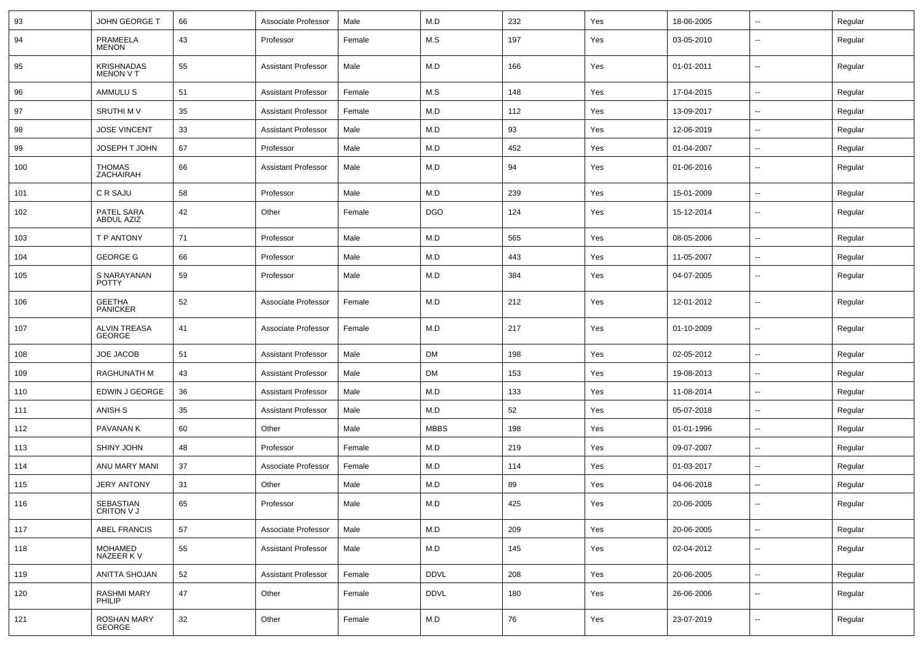| 93  | JOHN GEORGE T                  | 66 | Associate Professor        | Male   | M.D         | 232 | Yes | 18-06-2005 | $\overline{\phantom{a}}$ | Regular |
|-----|--------------------------------|----|----------------------------|--------|-------------|-----|-----|------------|--------------------------|---------|
| 94  | PRAMEELA<br><b>MENON</b>       | 43 | Professor                  | Female | M.S         | 197 | Yes | 03-05-2010 | $\overline{\phantom{a}}$ | Regular |
| 95  | KRISHNADAS<br><b>MENON V T</b> | 55 | <b>Assistant Professor</b> | Male   | M.D         | 166 | Yes | 01-01-2011 | ⊷.                       | Regular |
| 96  | AMMULU S                       | 51 | <b>Assistant Professor</b> | Female | M.S         | 148 | Yes | 17-04-2015 | ⊷.                       | Regular |
| 97  | <b>SRUTHIMV</b>                | 35 | <b>Assistant Professor</b> | Female | M.D         | 112 | Yes | 13-09-2017 | $\overline{\phantom{a}}$ | Regular |
| 98  | <b>JOSE VINCENT</b>            | 33 | <b>Assistant Professor</b> | Male   | M.D         | 93  | Yes | 12-06-2019 | --                       | Regular |
| 99  | JOSEPH T JOHN                  | 67 | Professor                  | Male   | M.D         | 452 | Yes | 01-04-2007 | н.                       | Regular |
| 100 | <b>THOMAS</b><br>ZACHAIRAH     | 66 | <b>Assistant Professor</b> | Male   | M.D         | 94  | Yes | 01-06-2016 | ⊷.                       | Regular |
| 101 | C R SAJU                       | 58 | Professor                  | Male   | M.D         | 239 | Yes | 15-01-2009 | $\overline{\phantom{a}}$ | Regular |
| 102 | PATEL SARA<br>ABDUL AZIZ       | 42 | Other                      | Female | <b>DGO</b>  | 124 | Yes | 15-12-2014 | $\overline{\phantom{a}}$ | Regular |
| 103 | T P ANTONY                     | 71 | Professor                  | Male   | M.D         | 565 | Yes | 08-05-2006 | $\overline{\phantom{a}}$ | Regular |
| 104 | <b>GEORGE G</b>                | 66 | Professor                  | Male   | M.D         | 443 | Yes | 11-05-2007 | ⊷.                       | Regular |
| 105 | S NARAYANAN<br><b>POTTY</b>    | 59 | Professor                  | Male   | M.D         | 384 | Yes | 04-07-2005 | --                       | Regular |
| 106 | <b>GEETHA</b><br>PANICKER      | 52 | Associate Professor        | Female | M.D         | 212 | Yes | 12-01-2012 | $\overline{\phantom{a}}$ | Regular |
| 107 | <b>ALVIN TREASA</b><br>GEORGE  | 41 | Associate Professor        | Female | M.D         | 217 | Yes | 01-10-2009 | $\overline{\phantom{a}}$ | Regular |
| 108 | <b>JOE JACOB</b>               | 51 | <b>Assistant Professor</b> | Male   | <b>DM</b>   | 198 | Yes | 02-05-2012 | $\overline{\phantom{a}}$ | Regular |
| 109 | RAGHUNATH M                    | 43 | <b>Assistant Professor</b> | Male   | <b>DM</b>   | 153 | Yes | 19-08-2013 | --                       | Regular |
| 110 | EDWIN J GEORGE                 | 36 | <b>Assistant Professor</b> | Male   | M.D         | 133 | Yes | 11-08-2014 | --                       | Regular |
| 111 | ANISH S                        | 35 | <b>Assistant Professor</b> | Male   | M.D         | 52  | Yes | 05-07-2018 | --                       | Regular |
| 112 | PAVANAN K                      | 60 | Other                      | Male   | <b>MBBS</b> | 198 | Yes | 01-01-1996 | ⊷.                       | Regular |
| 113 | SHINY JOHN                     | 48 | Professor                  | Female | M.D         | 219 | Yes | 09-07-2007 | ⊷.                       | Regular |
| 114 | ANU MARY MANI                  | 37 | Associate Professor        | Female | M.D         | 114 | Yes | 01-03-2017 | --                       | Regular |
| 115 | <b>JERY ANTONY</b>             | 31 | Other                      | Male   | M.D         | 89  | Yes | 04-06-2018 | -−                       | Regular |
| 116 | SEBASTIAN<br>CRITON V J        | 65 | Professor                  | Male   | M.D         | 425 | Yes | 20-06-2005 |                          | Regular |
| 117 | ABEL FRANCIS                   | 57 | Associate Professor        | Male   | M.D         | 209 | Yes | 20-06-2005 | н.                       | Regular |
| 118 | MOHAMED<br>NAZEER K V          | 55 | <b>Assistant Professor</b> | Male   | M.D         | 145 | Yes | 02-04-2012 | н.                       | Regular |
| 119 | ANITTA SHOJAN                  | 52 | <b>Assistant Professor</b> | Female | <b>DDVL</b> | 208 | Yes | 20-06-2005 | ш.                       | Regular |
| 120 | RASHMI MARY<br>PHILIP          | 47 | Other                      | Female | <b>DDVL</b> | 180 | Yes | 26-06-2006 | $\overline{\phantom{a}}$ | Regular |
| 121 | ROSHAN MARY<br>GEORGE          | 32 | Other                      | Female | M.D         | 76  | Yes | 23-07-2019 | $\sim$                   | Regular |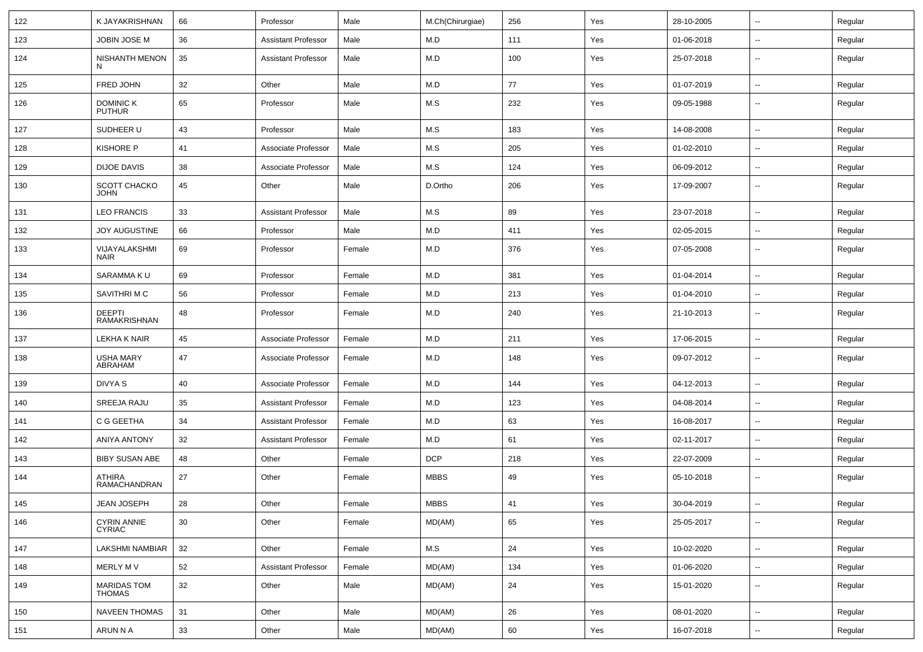| 122 | K JAYAKRISHNAN                    | 66              | Professor                  | Male   | M.Ch(Chirurgiae) | 256    | Yes | 28-10-2005 | $\sim$                   | Regular |
|-----|-----------------------------------|-----------------|----------------------------|--------|------------------|--------|-----|------------|--------------------------|---------|
| 123 | JOBIN JOSE M                      | 36              | <b>Assistant Professor</b> | Male   | M.D              | 111    | Yes | 01-06-2018 | ⊷.                       | Regular |
| 124 | <b>NISHANTH MENON</b><br>N        | 35              | <b>Assistant Professor</b> | Male   | M.D              | 100    | Yes | 25-07-2018 | ⊷.                       | Regular |
| 125 | FRED JOHN                         | 32              | Other                      | Male   | M.D              | 77     | Yes | 01-07-2019 | $\sim$                   | Regular |
| 126 | <b>DOMINIC K</b><br><b>PUTHUR</b> | 65              | Professor                  | Male   | M.S              | 232    | Yes | 09-05-1988 | --                       | Regular |
| 127 | SUDHEER U                         | 43              | Professor                  | Male   | M.S              | 183    | Yes | 14-08-2008 | $\overline{\phantom{a}}$ | Regular |
| 128 | <b>KISHORE P</b>                  | 41              | Associate Professor        | Male   | M.S              | 205    | Yes | 01-02-2010 | н.                       | Regular |
| 129 | <b>DIJOE DAVIS</b>                | 38              | Associate Professor        | Male   | M.S              | 124    | Yes | 06-09-2012 | $\sim$                   | Regular |
| 130 | SCOTT CHACKO<br><b>JOHN</b>       | 45              | Other                      | Male   | D.Ortho          | 206    | Yes | 17-09-2007 | ⊷.                       | Regular |
| 131 | <b>LEO FRANCIS</b>                | 33              | <b>Assistant Professor</b> | Male   | M.S              | 89     | Yes | 23-07-2018 | $\sim$                   | Regular |
| 132 | <b>JOY AUGUSTINE</b>              | 66              | Professor                  | Male   | M.D              | 411    | Yes | 02-05-2015 | ⊷.                       | Regular |
| 133 | VIJAYALAKSHMI<br><b>NAIR</b>      | 69              | Professor                  | Female | M.D              | 376    | Yes | 07-05-2008 | ⊷.                       | Regular |
| 134 | SARAMMA KU                        | 69              | Professor                  | Female | M.D              | 381    | Yes | 01-04-2014 | $\sim$                   | Regular |
| 135 | SAVITHRI M C                      | 56              | Professor                  | Female | M.D              | 213    | Yes | 01-04-2010 | -−                       | Regular |
| 136 | <b>DEEPTI</b><br>RAMAKRISHNAN     | 48              | Professor                  | Female | M.D              | 240    | Yes | 21-10-2013 | н.                       | Regular |
| 137 | LEKHA K NAIR                      | 45              | Associate Professor        | Female | M.D              | 211    | Yes | 17-06-2015 | н.                       | Regular |
| 138 | USHA MARY<br>ABRAHAM              | 47              | Associate Professor        | Female | M.D              | 148    | Yes | 09-07-2012 | $\overline{\phantom{a}}$ | Regular |
| 139 | DIVYA S                           | 40              | Associate Professor        | Female | M.D              | 144    | Yes | 04-12-2013 | $\sim$                   | Regular |
| 140 | SREEJA RAJU                       | 35              | <b>Assistant Professor</b> | Female | M.D              | 123    | Yes | 04-08-2014 | ⊷.                       | Regular |
| 141 | C G GEETHA                        | 34              | <b>Assistant Professor</b> | Female | M.D              | 63     | Yes | 16-08-2017 | ⊷.                       | Regular |
| 142 | <b>ANIYA ANTONY</b>               | 32              | <b>Assistant Professor</b> | Female | M.D              | 61     | Yes | 02-11-2017 | --                       | Regular |
| 143 | <b>BIBY SUSAN ABE</b>             | 48              | Other                      | Female | <b>DCP</b>       | 218    | Yes | 22-07-2009 | $\overline{\phantom{a}}$ | Regular |
| 144 | ATHIRA<br>RAMACHANDRAN            | 27              | Other                      | Female | <b>MBBS</b>      | 49     | Yes | 05-10-2018 | --                       | Regular |
| 145 | JEAN JOSEPH                       | 28              | Other                      | Female | MBBS             | $41\,$ | Yes | 30-04-2019 | --                       | Regular |
| 146 | CYRIN ANNIE<br>CYRIAC             | 30 <sup>°</sup> | Other                      | Female | MD(AM)           | 65     | Yes | 25-05-2017 | $\overline{\phantom{a}}$ | Regular |
| 147 | LAKSHMI NAMBIAR                   | 32              | Other                      | Female | M.S              | 24     | Yes | 10-02-2020 | $\sim$                   | Regular |
| 148 | MERLY MV                          | 52              | <b>Assistant Professor</b> | Female | MD(AM)           | 134    | Yes | 01-06-2020 | $\overline{\phantom{a}}$ | Regular |
| 149 | MARIDAS TOM<br><b>THOMAS</b>      | 32              | Other                      | Male   | MD(AM)           | 24     | Yes | 15-01-2020 | $\sim$                   | Regular |
| 150 | <b>NAVEEN THOMAS</b>              | 31              | Other                      | Male   | MD(AM)           | 26     | Yes | 08-01-2020 | $\sim$                   | Regular |
| 151 | ARUN N A                          | 33              | Other                      | Male   | MD(AM)           | 60     | Yes | 16-07-2018 | щ.                       | Regular |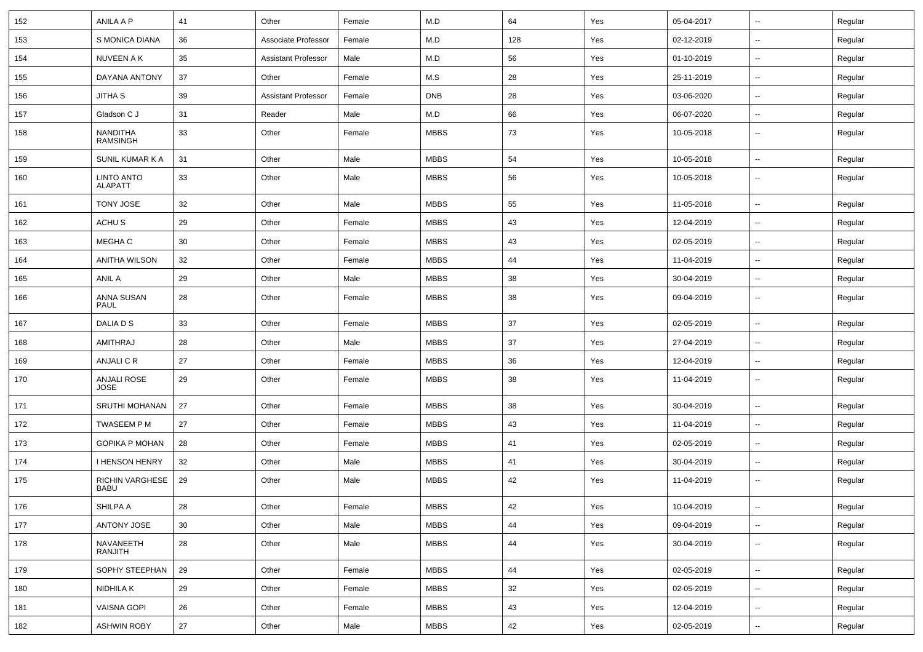| 152 | ANILA A P                           | 41              | Other                      | Female | M.D         | 64  | Yes | 05-04-2017 | $\overline{\phantom{a}}$ | Regular |
|-----|-------------------------------------|-----------------|----------------------------|--------|-------------|-----|-----|------------|--------------------------|---------|
| 153 | S MONICA DIANA                      | 36              | Associate Professor        | Female | M.D         | 128 | Yes | 02-12-2019 | $\sim$                   | Regular |
| 154 | NUVEEN A K                          | 35              | <b>Assistant Professor</b> | Male   | M.D         | 56  | Yes | 01-10-2019 | --                       | Regular |
| 155 | DAYANA ANTONY                       | 37              | Other                      | Female | M.S         | 28  | Yes | 25-11-2019 | $\overline{\phantom{a}}$ | Regular |
| 156 | JITHA S                             | 39              | <b>Assistant Professor</b> | Female | <b>DNB</b>  | 28  | Yes | 03-06-2020 | $\overline{\phantom{a}}$ | Regular |
| 157 | Gladson C J                         | 31              | Reader                     | Male   | M.D         | 66  | Yes | 06-07-2020 | $\overline{\phantom{a}}$ | Regular |
| 158 | <b>NANDITHA</b><br><b>RAMSINGH</b>  | 33              | Other                      | Female | <b>MBBS</b> | 73  | Yes | 10-05-2018 | ⊷.                       | Regular |
| 159 | SUNIL KUMAR K A                     | 31              | Other                      | Male   | <b>MBBS</b> | 54  | Yes | 10-05-2018 | $\sim$                   | Regular |
| 160 | <b>LINTO ANTO</b><br><b>ALAPATT</b> | 33              | Other                      | Male   | <b>MBBS</b> | 56  | Yes | 10-05-2018 | ⊷.                       | Regular |
| 161 | TONY JOSE                           | 32              | Other                      | Male   | <b>MBBS</b> | 55  | Yes | 11-05-2018 | ⊷.                       | Regular |
| 162 | ACHU S                              | 29              | Other                      | Female | <b>MBBS</b> | 43  | Yes | 12-04-2019 | ⊷.                       | Regular |
| 163 | MEGHA C                             | 30              | Other                      | Female | <b>MBBS</b> | 43  | Yes | 02-05-2019 | ⊷.                       | Regular |
| 164 | ANITHA WILSON                       | 32              | Other                      | Female | <b>MBBS</b> | 44  | Yes | 11-04-2019 | --                       | Regular |
| 165 | ANIL A                              | 29              | Other                      | Male   | <b>MBBS</b> | 38  | Yes | 30-04-2019 | --                       | Regular |
| 166 | ANNA SUSAN<br>PAUL                  | 28              | Other                      | Female | <b>MBBS</b> | 38  | Yes | 09-04-2019 | ⊷.                       | Regular |
| 167 | DALIA D S                           | 33              | Other                      | Female | <b>MBBS</b> | 37  | Yes | 02-05-2019 | $\sim$                   | Regular |
| 168 | AMITHRAJ                            | 28              | Other                      | Male   | <b>MBBS</b> | 37  | Yes | 27-04-2019 | ⊷.                       | Regular |
| 169 | ANJALI C R                          | 27              | Other                      | Female | <b>MBBS</b> | 36  | Yes | 12-04-2019 | --                       | Regular |
| 170 | ANJALI ROSE<br><b>JOSE</b>          | 29              | Other                      | Female | <b>MBBS</b> | 38  | Yes | 11-04-2019 | $\overline{\phantom{a}}$ | Regular |
| 171 | <b>SRUTHI MOHANAN</b>               | 27              | Other                      | Female | <b>MBBS</b> | 38  | Yes | 30-04-2019 | ⊷.                       | Regular |
| 172 | TWASEEM P M                         | 27              | Other                      | Female | <b>MBBS</b> | 43  | Yes | 11-04-2019 | $\overline{\phantom{a}}$ | Regular |
| 173 | <b>GOPIKA P MOHAN</b>               | 28              | Other                      | Female | <b>MBBS</b> | 41  | Yes | 02-05-2019 | -−                       | Regular |
| 174 | <b>I HENSON HENRY</b>               | 32              | Other                      | Male   | <b>MBBS</b> | 41  | Yes | 30-04-2019 | ⊷.                       | Regular |
| 175 | RICHIN VARGHESE<br><b>BABU</b>      | 29              | Other                      | Male   | <b>MBBS</b> | 42  | Yes | 11-04-2019 | ⊷.                       | Regular |
| 176 | SHILPA A                            | 28              | Other                      | Female | <b>MBBS</b> | 42  | Yes | 10-04-2019 | $\sim$                   | Regular |
| 177 | ANTONY JOSE                         | 30 <sup>°</sup> | Other                      | Male   | <b>MBBS</b> | 44  | Yes | 09-04-2019 | $\sim$                   | Regular |
| 178 | NAVANEETH<br>RANJITH                | 28              | Other                      | Male   | <b>MBBS</b> | 44  | Yes | 30-04-2019 | $\sim$                   | Regular |
| 179 | SOPHY STEEPHAN                      | 29              | Other                      | Female | <b>MBBS</b> | 44  | Yes | 02-05-2019 | $\sim$                   | Regular |
| 180 | NIDHILA K                           | 29              | Other                      | Female | <b>MBBS</b> | 32  | Yes | 02-05-2019 | $\sim$                   | Regular |
| 181 | <b>VAISNA GOPI</b>                  | 26              | Other                      | Female | <b>MBBS</b> | 43  | Yes | 12-04-2019 | ⊷.                       | Regular |
| 182 | <b>ASHWIN ROBY</b>                  | 27              | Other                      | Male   | <b>MBBS</b> | 42  | Yes | 02-05-2019 | н.                       | Regular |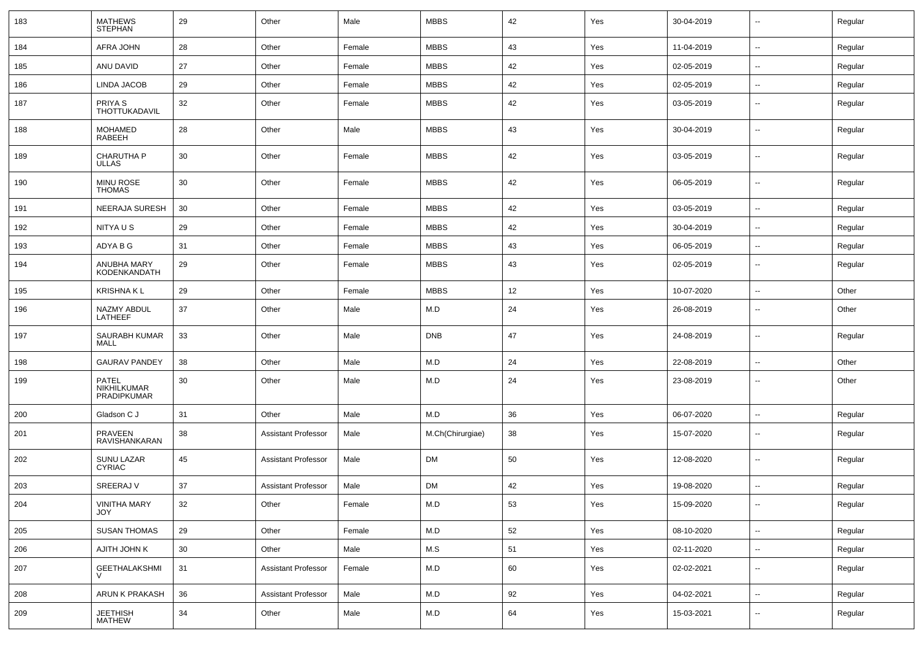| 183 | <b>MATHEWS</b><br><b>STEPHAN</b>                  | 29              | Other                      | Male   | <b>MBBS</b>             | 42 | Yes | 30-04-2019 | $\overline{\phantom{a}}$ | Regular |
|-----|---------------------------------------------------|-----------------|----------------------------|--------|-------------------------|----|-----|------------|--------------------------|---------|
| 184 | AFRA JOHN                                         | 28              | Other                      | Female | <b>MBBS</b>             | 43 | Yes | 11-04-2019 | $\sim$                   | Regular |
| 185 | ANU DAVID                                         | 27              | Other                      | Female | <b>MBBS</b>             | 42 | Yes | 02-05-2019 | $\overline{\phantom{a}}$ | Regular |
| 186 | LINDA JACOB                                       | 29              | Other                      | Female | <b>MBBS</b>             | 42 | Yes | 02-05-2019 | $\mathbf{u}$             | Regular |
| 187 | PRIYA <sub>S</sub><br><b>THOTTUKADAVIL</b>        | 32              | Other                      | Female | <b>MBBS</b>             | 42 | Yes | 03-05-2019 | $\overline{\phantom{a}}$ | Regular |
| 188 | <b>MOHAMED</b><br>RABEEH                          | 28              | Other                      | Male   | <b>MBBS</b>             | 43 | Yes | 30-04-2019 | $\overline{\phantom{a}}$ | Regular |
| 189 | CHARUTHA P<br><b>ULLAS</b>                        | 30              | Other                      | Female | <b>MBBS</b>             | 42 | Yes | 03-05-2019 | $\overline{\phantom{a}}$ | Regular |
| 190 | MINU ROSE<br><b>THOMAS</b>                        | 30              | Other                      | Female | <b>MBBS</b>             | 42 | Yes | 06-05-2019 | $\overline{\phantom{a}}$ | Regular |
| 191 | NEERAJA SURESH                                    | 30              | Other                      | Female | <b>MBBS</b>             | 42 | Yes | 03-05-2019 | $\overline{\phantom{a}}$ | Regular |
| 192 | NITYA U S                                         | 29              | Other                      | Female | <b>MBBS</b>             | 42 | Yes | 30-04-2019 | $\mathbf{u}$             | Regular |
| 193 | ADYA B G                                          | 31              | Other                      | Female | <b>MBBS</b>             | 43 | Yes | 06-05-2019 | $\mathbf{u}$             | Regular |
| 194 | ANUBHA MARY<br>KODENKANDATH                       | 29              | Other                      | Female | <b>MBBS</b>             | 43 | Yes | 02-05-2019 | $\overline{\phantom{a}}$ | Regular |
| 195 | <b>KRISHNA KL</b>                                 | 29              | Other                      | Female | <b>MBBS</b>             | 12 | Yes | 10-07-2020 | $\sim$                   | Other   |
| 196 | NAZMY ABDUL<br>LATHEEF                            | 37              | Other                      | Male   | M.D                     | 24 | Yes | 26-08-2019 | $\sim$                   | Other   |
| 197 | SAURABH KUMAR<br><b>MALL</b>                      | 33              | Other                      | Male   | <b>DNB</b>              | 47 | Yes | 24-08-2019 | $\overline{\phantom{a}}$ | Regular |
| 198 | <b>GAURAV PANDEY</b>                              | 38              | Other                      | Male   | M.D                     | 24 | Yes | 22-08-2019 | --                       | Other   |
| 199 | <b>PATEL</b><br>NIKHILKUMAR<br><b>PRADIPKUMAR</b> | 30              | Other                      | Male   | M.D                     | 24 | Yes | 23-08-2019 | --                       | Other   |
| 200 | Gladson C J                                       | 31              | Other                      | Male   | M.D                     | 36 | Yes | 06-07-2020 | --                       | Regular |
| 201 | PRAVEEN<br>RAVISHANKARAN                          | 38              | <b>Assistant Professor</b> | Male   | M.Ch(Chirurgiae)        | 38 | Yes | 15-07-2020 | --                       | Regular |
| 202 | SUNU LAZAR<br><b>CYRIAC</b>                       | 45              | <b>Assistant Professor</b> | Male   | <b>DM</b>               | 50 | Yes | 12-08-2020 | $\mathbf{u}$             | Regular |
| 203 | SREERAJ V                                         | 37              | <b>Assistant Professor</b> | Male   | <b>DM</b>               | 42 | Yes | 19-08-2020 | --                       | Regular |
| 204 | <b>VINITHA MARY</b><br>JOY                        | 32              | Other                      | Female | $\mathsf{M}.\mathsf{D}$ | 53 | Yes | 15-09-2020 | $\overline{\phantom{a}}$ | Regular |
| 205 | <b>SUSAN THOMAS</b>                               | 29              | Other                      | Female | ${\sf M.D}$             | 52 | Yes | 08-10-2020 | $\sim$                   | Regular |
| 206 | AJITH JOHN K                                      | 30 <sup>°</sup> | Other                      | Male   | M.S                     | 51 | Yes | 02-11-2020 | $\sim$                   | Regular |
| 207 | GEETHALAKSHMI                                     | 31              | <b>Assistant Professor</b> | Female | M.D                     | 60 | Yes | 02-02-2021 | $\sim$                   | Regular |
| 208 | ARUN K PRAKASH                                    | 36              | <b>Assistant Professor</b> | Male   | M.D                     | 92 | Yes | 04-02-2021 | $\omega_{\rm m}$         | Regular |
| 209 | JEETHISH<br>MATHEW                                | 34              | Other                      | Male   | ${\sf M.D}$             | 64 | Yes | 15-03-2021 | $\sim$                   | Regular |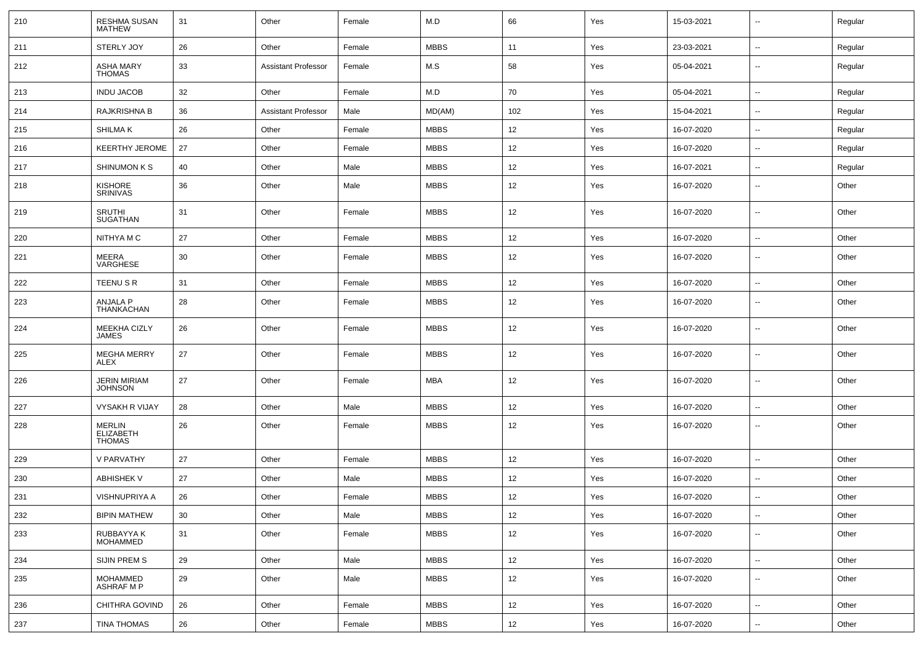| 210 | RESHMA SUSAN<br><b>MATHEW</b>                      | 31 | Other                      | Female | M.D         | 66  | Yes | 15-03-2021 | ⊷.                       | Regular |
|-----|----------------------------------------------------|----|----------------------------|--------|-------------|-----|-----|------------|--------------------------|---------|
| 211 | STERLY JOY                                         | 26 | Other                      | Female | <b>MBBS</b> | 11  | Yes | 23-03-2021 | ⊷.                       | Regular |
| 212 | <b>ASHA MARY</b><br><b>THOMAS</b>                  | 33 | <b>Assistant Professor</b> | Female | M.S         | 58  | Yes | 05-04-2021 | ⊷.                       | Regular |
| 213 | <b>INDU JACOB</b>                                  | 32 | Other                      | Female | M.D         | 70  | Yes | 05-04-2021 | $\overline{\phantom{a}}$ | Regular |
| 214 | RAJKRISHNA B                                       | 36 | <b>Assistant Professor</b> | Male   | MD(AM)      | 102 | Yes | 15-04-2021 | ⊷.                       | Regular |
| 215 | SHILMA K                                           | 26 | Other                      | Female | <b>MBBS</b> | 12  | Yes | 16-07-2020 | $\overline{\phantom{a}}$ | Regular |
| 216 | <b>KEERTHY JEROME</b>                              | 27 | Other                      | Female | <b>MBBS</b> | 12  | Yes | 16-07-2020 | -−                       | Regular |
| 217 | SHINUMON K S                                       | 40 | Other                      | Male   | <b>MBBS</b> | 12  | Yes | 16-07-2021 | $\overline{\phantom{a}}$ | Regular |
| 218 | <b>KISHORE</b><br>SRINIVAS                         | 36 | Other                      | Male   | <b>MBBS</b> | 12  | Yes | 16-07-2020 | $\overline{\phantom{a}}$ | Other   |
| 219 | <b>SRUTHI</b><br><b>SUGATHAN</b>                   | 31 | Other                      | Female | <b>MBBS</b> | 12  | Yes | 16-07-2020 | ⊷.                       | Other   |
| 220 | NITHYA M C                                         | 27 | Other                      | Female | <b>MBBS</b> | 12  | Yes | 16-07-2020 | $\overline{\phantom{a}}$ | Other   |
| 221 | MEERA<br>VARGHESE                                  | 30 | Other                      | Female | <b>MBBS</b> | 12  | Yes | 16-07-2020 | ⊷.                       | Other   |
| 222 | TEENU S R                                          | 31 | Other                      | Female | <b>MBBS</b> | 12  | Yes | 16-07-2020 | $\overline{\phantom{a}}$ | Other   |
| 223 | ANJALA P<br>THANKACHAN                             | 28 | Other                      | Female | <b>MBBS</b> | 12  | Yes | 16-07-2020 | $\overline{\phantom{a}}$ | Other   |
| 224 | MEEKHA CIZLY<br><b>JAMES</b>                       | 26 | Other                      | Female | <b>MBBS</b> | 12  | Yes | 16-07-2020 | ⊷.                       | Other   |
| 225 | <b>MEGHA MERRY</b><br><b>ALEX</b>                  | 27 | Other                      | Female | <b>MBBS</b> | 12  | Yes | 16-07-2020 | $\overline{\phantom{a}}$ | Other   |
| 226 | JERIN MIRIAM<br><b>JOHNSON</b>                     | 27 | Other                      | Female | MBA         | 12  | Yes | 16-07-2020 | $\overline{\phantom{a}}$ | Other   |
| 227 | VYSAKH R VIJAY                                     | 28 | Other                      | Male   | <b>MBBS</b> | 12  | Yes | 16-07-2020 | ⊷.                       | Other   |
| 228 | <b>MERLIN</b><br><b>ELIZABETH</b><br><b>THOMAS</b> | 26 | Other                      | Female | <b>MBBS</b> | 12  | Yes | 16-07-2020 | $\overline{\phantom{a}}$ | Other   |
| 229 | V PARVATHY                                         | 27 | Other                      | Female | <b>MBBS</b> | 12  | Yes | 16-07-2020 | $-$                      | Other   |
| 230 | <b>ABHISHEK V</b>                                  | 27 | Other                      | Male   | <b>MBBS</b> | 12  | Yes | 16-07-2020 | --                       | Other   |
| 231 | VISHNUPRIYA A                                      | 26 | Other                      | Female | <b>MBBS</b> | 12  | Yes | 16-07-2020 | --                       | Other   |
| 232 | <b>BIPIN MATHEW</b>                                | 30 | Other                      | Male   | <b>MBBS</b> | 12  | Yes | 16-07-2020 | $\sim$                   | Other   |
| 233 | RUBBAYYA K<br><b>MOHAMMED</b>                      | 31 | Other                      | Female | <b>MBBS</b> | 12  | Yes | 16-07-2020 | $\sim$                   | Other   |
| 234 | SIJIN PREM S                                       | 29 | Other                      | Male   | <b>MBBS</b> | 12  | Yes | 16-07-2020 | $\sim$                   | Other   |
| 235 | MOHAMMED<br><b>ASHRAF M P</b>                      | 29 | Other                      | Male   | <b>MBBS</b> | 12  | Yes | 16-07-2020 | ⊷.                       | Other   |
| 236 | CHITHRA GOVIND                                     | 26 | Other                      | Female | <b>MBBS</b> | 12  | Yes | 16-07-2020 | ⊷.                       | Other   |
| 237 | TINA THOMAS                                        | 26 | Other                      | Female | <b>MBBS</b> | 12  | Yes | 16-07-2020 | $\sim$                   | Other   |